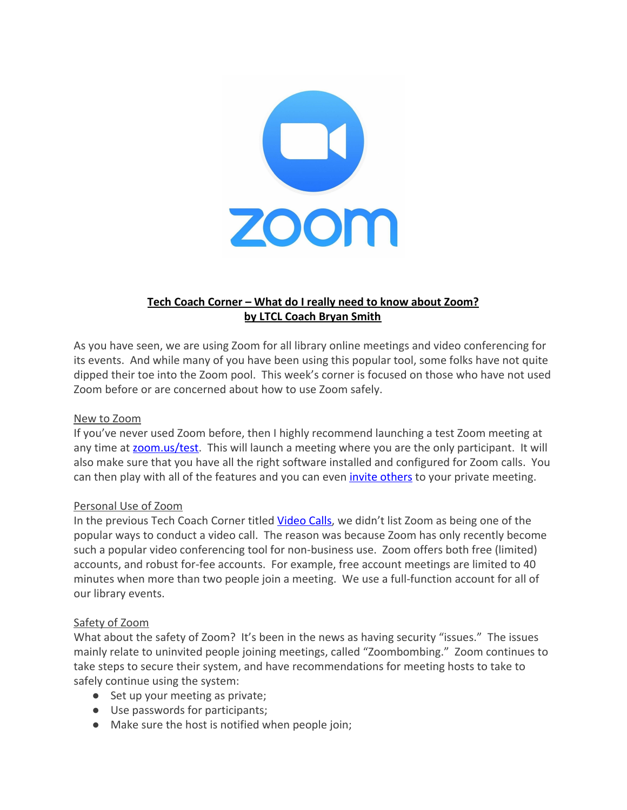

# **Tech Coach Corner – What do I really need to know about Zoom? by LTCL Coach Bryan Smith**

As you have seen, we are using Zoom for all library online meetings and video conferencing for its events. And while many of you have been using this popular tool, some folks have not quite dipped their toe into the Zoom pool. This week's corner is focused on those who have not used Zoom before or are concerned about how to use Zoom safely.

## New to Zoom

If you've never used Zoom before, then I highly recommend launching a test Zoom meeting at any time at [zoom.us/test](https://www.zoom.us/test). This will launch a meeting where you are the only participant. It will also make sure that you have all the right software installed and configured for Zoom calls. You can then play with all of the features and you can even *invite others* to your private meeting.

#### Personal Use of Zoom

In the previous Tech Coach Corner titled [Video Calls](https://laketravislibrary.org/wp-content/uploads/2020/04/Tech-Coach-Corner-Video-Calls.pdf), we didn't list Zoom as being one of the popular ways to conduct a video call. The reason was because Zoom has only recently become such a popular video conferencing tool for non-business use. Zoom offers both free (limited) accounts, and robust for-fee accounts. For example, free account meetings are limited to 40 minutes when more than two people join a meeting. We use a full-function account for all of our library events.

#### Safety of Zoom

What about the safety of Zoom? It's been in the news as having security "issues." The issues mainly relate to uninvited people joining meetings, called "Zoombombing." Zoom continues to take steps to secure their system, and have recommendations for meeting hosts to take to safely continue using the system:

- Set up your meeting as private;
- Use passwords for participants;
- Make sure the host is notified when people join;